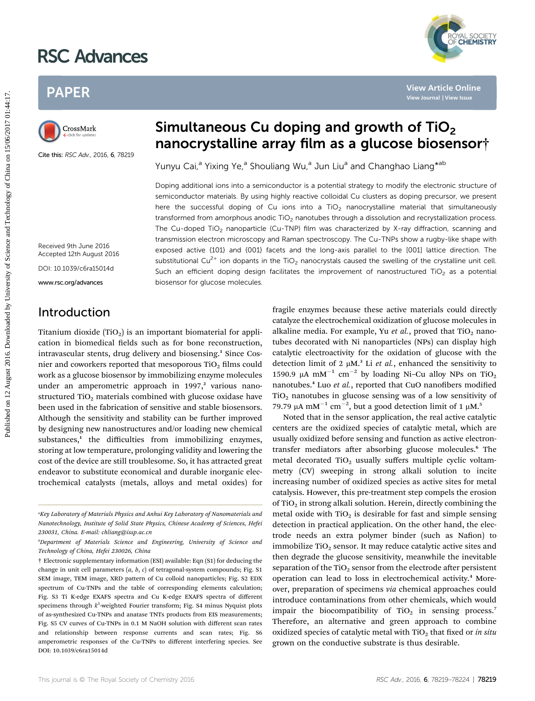# RSC Advances

# PAPER

Cite this: RSC Adv., 2016, 6, 78219

# Simultaneous Cu doping and growth of  $TiO<sub>2</sub>$ nanocrystalline array film as a glucose biosensor†

Yunyu Cai,<sup>a</sup> Yixing Ye,<sup>a</sup> Shouliang Wu,<sup>a</sup> Jun Liu<sup>a</sup> and Changhao Liang<sup>\*ab</sup>

Doping additional ions into a semiconductor is a potential strategy to modify the electronic structure of semiconductor materials. By using highly reactive colloidal Cu clusters as doping precursor, we present here the successful doping of Cu ions into a  $TiO<sub>2</sub>$  nanocrystalline material that simultaneously transformed from amorphous anodic TiO<sub>2</sub> nanotubes through a dissolution and recrystallization process. The Cu-doped TiO<sub>2</sub> nanoparticle (Cu-TNP) film was characterized by X-ray diffraction, scanning and transmission electron microscopy and Raman spectroscopy. The Cu-TNPs show a rugby-like shape with exposed active {101} and {001} facets and the long-axis parallel to the [001] lattice direction. The substitutional Cu<sup>2+</sup> ion dopants in the TiO<sub>2</sub> nanocrystals caused the swelling of the crystalline unit cell. Such an efficient doping design facilitates the improvement of nanostructured TiO<sub>2</sub> as a potential biosensor for glucose molecules. PAPER<br>
Published on 12 August 2016. **Simultaneous Cu doping and growth of TiO<sub>2</sub><br>
manocrystalline array film as a glucose biosenson<br>
Second by University of Science and Technology of Science and Technology of Cuide and Chi** 

Received 9th June 2016 Accepted 12th August 2016

DOI: 10.1039/c6ra15014d

www.rsc.org/advances

# Introduction

Titanium dioxide  $(TiO<sub>2</sub>)$  is an important biomaterial for application in biomedical fields such as for bone reconstruction, intravascular stents, drug delivery and biosensing.<sup>1</sup> Since Cosnier and coworkers reported that mesoporous  $TiO<sub>2</sub>$  films could work as a glucose biosensor by immobilizing enzyme molecules under an amperometric approach in 1997,<sup>2</sup> various nanostructured  $TiO<sub>2</sub>$  materials combined with glucose oxidase have been used in the fabrication of sensitive and stable biosensors. Although the sensitivity and stability can be further improved by designing new nanostructures and/or loading new chemical substances,<sup>1</sup> the difficulties from immobilizing enzymes, storing at low temperature, prolonging validity and lowering the cost of the device are still troublesome. So, it has attracted great endeavor to substitute economical and durable inorganic electrochemical catalysts (metals, alloys and metal oxides) for

fragile enzymes because these active materials could directly catalyze the electrochemical oxidization of glucose molecules in alkaline media. For example, Yu et al., proved that  $TiO<sub>2</sub>$  nanotubes decorated with Ni nanoparticles (NPs) can display high catalytic electroactivity for the oxidation of glucose with the detection limit of 2  $\mu$ M.<sup>3</sup> Li et al., enhanced the sensitivity to 1590.9 µA mM<sup>-1</sup> cm<sup>-2</sup> by loading Ni-Cu alloy NPs on TiO<sub>2</sub> nanotubes.<sup>4</sup> Luo et al., reported that CuO nanofibers modified  $TiO<sub>2</sub>$  nanotubes in glucose sensing was of a low sensitivity of 79.79 µA mM<sup>-1</sup> cm<sup>-2</sup>, but a good detection limit of 1 µM.<sup>5</sup>

Noted that in the sensor application, the real active catalytic centers are the oxidized species of catalytic metal, which are usually oxidized before sensing and function as active electrontransfer mediators after absorbing glucose molecules.<sup>6</sup> The metal decorated  $TiO<sub>2</sub>$  usually suffers multiple cyclic voltammetry (CV) sweeping in strong alkali solution to incite increasing number of oxidized species as active sites for metal catalysis. However, this pre-treatment step compels the erosion of TiO<sub>2</sub> in strong alkali solution. Herein, directly combining the metal oxide with  $TiO<sub>2</sub>$  is desirable for fast and simple sensing detection in practical application. On the other hand, the electrode needs an extra polymer binder (such as Nafion) to immobilize  $TiO<sub>2</sub>$  sensor. It may reduce catalytic active sites and then degrade the glucose sensitivity, meanwhile the inevitable separation of the TiO<sub>2</sub> sensor from the electrode after persistent operation can lead to loss in electrochemical activity.<sup>4</sup> Moreover, preparation of specimens via chemical approaches could introduce contaminations from other chemicals, which would impair the biocompatibility of  $TiO<sub>2</sub>$  in sensing process.<sup>7</sup> Therefore, an alternative and green approach to combine oxidized species of catalytic metal with  $TiO<sub>2</sub>$  that fixed or in situ grown on the conductive substrate is thus desirable.



<sup>&</sup>quot;Key Laboratory of Materials Physics and Anhui Key Laboratory of Nanomaterials and Nanotechnology, Institute of Solid State Physics, Chinese Academy of Sciences, Hefei 230031, China. E-mail: chliang@issp.ac.cn

b Department of Materials Science and Engineering, University of Science and Technology of China, Hefei 230026, China

<sup>†</sup> Electronic supplementary information (ESI) available: Eqn (S1) for deducing the change in unit cell parameters  $(a, b, c)$  of tetragonal-system compounds; Fig. S1 SEM image, TEM image, XRD pattern of Cu colloid nanoparticles; Fig. S2 EDX spectrum of Cu-TNPs and the table of corresponding elements calculation; Fig. S3 Ti K-edge EXAFS spectra and Cu K-edge EXAFS spectra of different specimens through  $k^3$ -weighted Fourier transform; Fig. S4 minus Nyquist plots of as-synthesized Cu-TNPs and anatase TNTs products from EIS measurements; Fig. S5 CV curves of Cu-TNPs in 0.1 M NaOH solution with different scan rates and relationship between response currents and scan rates; Fig. S6 amperometric responses of the Cu-TNPs to different interfering species. See DOI: 10.1039/c6ra15014d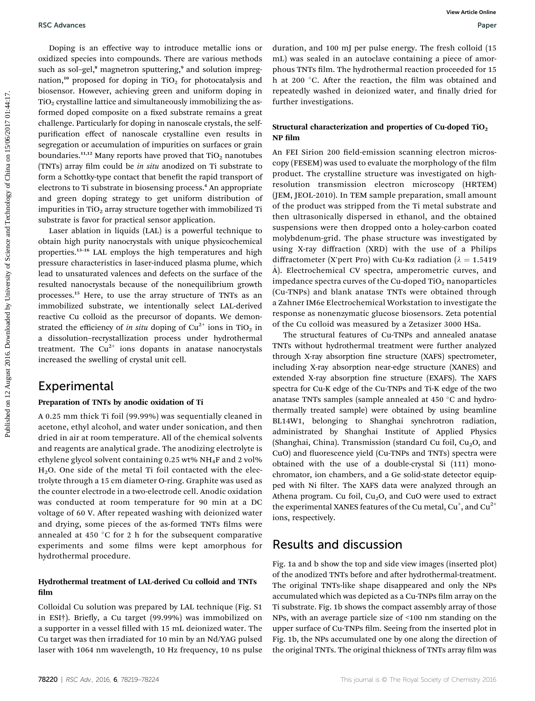Doping is an effective way to introduce metallic ions or oxidized species into compounds. There are various methods such as sol-gel,<sup>8</sup> magnetron sputtering,<sup>9</sup> and solution impregnation,<sup>10</sup> proposed for doping in TiO<sub>2</sub> for photocatalysis and biosensor. However, achieving green and uniform doping in  $TiO<sub>2</sub>$  crystalline lattice and simultaneously immobilizing the asformed doped composite on a fixed substrate remains a great challenge. Particularly for doping in nanoscale crystals, the selfpurification effect of nanoscale crystalline even results in segregation or accumulation of impurities on surfaces or grain boundaries.<sup>11,12</sup> Many reports have proved that  $TiO<sub>2</sub>$  nanotubes (TNTs) array film could be in situ anodized on Ti substrate to form a Schottky-type contact that benefit the rapid transport of electrons to Ti substrate in biosensing process.<sup>4</sup> An appropriate and green doping strategy to get uniform distribution of impurities in TiO<sub>2</sub> array structure together with immobilized Ti substrate is favor for practical sensor application. PSC Absences<br>
Doping is an effective way to introduce metallic base of duration, and 100 mJ par pulse energy. The first conduction of the science and the science and the science of annotation and the science of China on th

Laser ablation in liquids (LAL) is a powerful technique to obtain high purity nanocrystals with unique physicochemical properties.<sup>13</sup>–<sup>16</sup> LAL employs the high temperatures and high pressure characteristics in laser-induced plasma plume, which lead to unsaturated valences and defects on the surface of the resulted nanocrystals because of the nonequilibrium growth processes.<sup>15</sup> Here, to use the array structure of TNTs as an immobilized substrate, we intentionally select LAL-derived reactive Cu colloid as the precursor of dopants. We demonstrated the efficiency of in situ doping of  $Cu^{2+}$  ions in TiO<sub>2</sub> in a dissolution–recrystallization process under hydrothermal treatment. The  $Cu^{2+}$  ions dopants in anatase nanocrystals increased the swelling of crystal unit cell.

### Experimental

#### Preparation of TNTs by anodic oxidation of Ti

A 0.25 mm thick Ti foil (99.99%) was sequentially cleaned in acetone, ethyl alcohol, and water under sonication, and then dried in air at room temperature. All of the chemical solvents and reagents are analytical grade. The anodizing electrolyte is ethylene glycol solvent containing 0.25 wt% NH4F and 2 vol% H2O. One side of the metal Ti foil contacted with the electrolyte through a 15 cm diameter O-ring. Graphite was used as the counter electrode in a two-electrode cell. Anodic oxidation was conducted at room temperature for 90 min at a DC voltage of 60 V. After repeated washing with deionized water and drying, some pieces of the as-formed TNTs films were annealed at 450  $\degree$ C for 2 h for the subsequent comparative experiments and some films were kept amorphous for hydrothermal procedure.

#### Hydrothermal treatment of LAL-derived Cu colloid and TNTs film

Colloidal Cu solution was prepared by LAL technique (Fig. S1 in ESI†). Briefly, a Cu target (99.99%) was immobilized on a supporter in a vessel filled with 15 mL deionized water. The Cu target was then irradiated for 10 min by an Nd/YAG pulsed laser with 1064 nm wavelength, 10 Hz frequency, 10 ns pulse

duration, and 100 mJ per pulse energy. The fresh colloid (15 mL) was sealed in an autoclave containing a piece of amorphous TNTs film. The hydrothermal reaction proceeded for 15 h at 200 °C. After the reaction, the film was obtained and repeatedly washed in deionized water, and finally dried for further investigations.

#### Structural characterization and properties of Cu-doped TiO2  $NP film$

An FEI Sirion 200 field-emission scanning electron microscopy (FESEM) was used to evaluate the morphology of the film product. The crystalline structure was investigated on highresolution transmission electron microscopy (HRTEM) (JEM, JEOL-2010). In TEM sample preparation, small amount of the product was stripped from the Ti metal substrate and then ultrasonically dispersed in ethanol, and the obtained suspensions were then dropped onto a holey-carbon coated molybdenum-grid. The phase structure was investigated by using X-ray diffraction (XRD) with the use of a Philips diffractometer (X'pert Pro) with Cu-K $\alpha$  radiation ( $\lambda = 1.5419$ A). Electrochemical CV spectra, amperometric curves, and impedance spectra curves of the Cu-doped  $TiO<sub>2</sub>$  nanoparticles (Cu-TNPs) and blank anatase TNTs were obtained through a Zahner IM6e Electrochemical Workstation to investigate the response as nonenzymatic glucose biosensors. Zeta potential of the Cu colloid was measured by a Zetasizer 3000 HSa.

The structural features of Cu-TNPs and annealed anatase TNTs without hydrothermal treatment were further analyzed through X-ray absorption fine structure (XAFS) spectrometer, including X-ray absorption near-edge structure (XANES) and extended X-ray absorption fine structure (EXAFS). The XAFS spectra for Cu-K edge of the Cu-TNPs and Ti-K edge of the two anatase TNTs samples (sample annealed at 450 °C and hydrothermally treated sample) were obtained by using beamline BL14W1, belonging to Shanghai synchrotron radiation, administrated by Shanghai Institute of Applied Physics (Shanghai, China). Transmission (standard Cu foil,  $Cu<sub>2</sub>O$ , and CuO) and fluorescence yield (Cu-TNPs and TNTs) spectra were obtained with the use of a double-crystal Si (111) monochromator, ion chambers, and a Ge solid-state detector equipped with Ni filter. The XAFS data were analyzed through an Athena program. Cu foil,  $Cu<sub>2</sub>O$ , and CuO were used to extract the experimental XANES features of the Cu metal, Cu $^{\circ}$ , and Cu $^{2+}$ ions, respectively.

# Results and discussion

Fig. 1a and b show the top and side view images (inserted plot) of the anodized TNTs before and after hydrothermal-treatment. The original TNTs-like shape disappeared and only the NPs accumulated which was depicted as a Cu-TNPs film array on the Ti substrate. Fig. 1b shows the compact assembly array of those NPs, with an average particle size of <100 nm standing on the upper surface of Cu-TNPs film. Seeing from the inserted plot in Fig. 1b, the NPs accumulated one by one along the direction of the original TNTs. The original thickness of TNTs array film was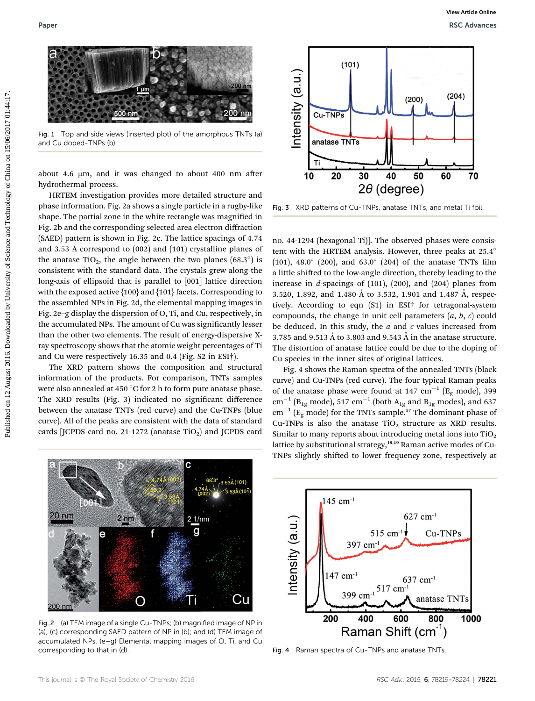

Fig. 1 Top and side views (inserted plot) of the amorphous TNTs (a) and Cu doped-TNPs (b).

about 4.6  $\mu$ m, and it was changed to about 400 nm after hydrothermal process.

HRTEM investigation provides more detailed structure and phase information. Fig. 2a shows a single particle in a rugby-like shape. The partial zone in the white rectangle was magnified in Fig. 2b and the corresponding selected area electron diffraction (SAED) pattern is shown in Fig. 2c. The lattice spacings of 4.74 and 3.53 A correspond to (002) and (101) crystalline planes of the anatase TiO<sub>2</sub>, the angle between the two planes (68.3 $^{\circ}$ ) is consistent with the standard data. The crystals grew along the long-axis of ellipsoid that is parallel to [001] lattice direction with the exposed active  $\{100\}$  and  $\{101\}$  facets. Corresponding to the assembled NPs in Fig. 2d, the elemental mapping images in Fig. 2e–g display the dispersion of O, Ti, and Cu, respectively, in the accumulated NPs. The amount of Cu was signicantly lesser than the other two elements. The result of energy-dispersive Xray spectroscopy shows that the atomic weight percentages of Ti and Cu were respectively 16.35 and 0.4 (Fig. S2 in ESI†). Public and the public distribution of the second interest of Control on 12 August 2016. Control on 12 August 2016. Control on 16/06/2017 01:45:17. The control of China on 16/06/2017 01:44:17. August 2016. The means of Chin

The XRD pattern shows the composition and structural information of the products. For comparison, TNTs samples were also annealed at 450  $\degree$ C for 2 h to form pure anatase phase. The XRD results (Fig. 3) indicated no significant difference between the anatase TNTs (red curve) and the Cu-TNPs (blue curve). All of the peaks are consistent with the data of standard cards [JCPDS card no. 21-1272 (anatase  $TiO<sub>2</sub>$ ) and JCPDS card



Fig. 3 XRD patterns of Cu-TNPs, anatase TNTs, and metal Ti foil.

no. 44-1294 (hexagonal Ti)]. The observed phases were consistent with the HRTEM analysis. However, three peaks at 25.4 (101), 48.0 $^{\circ}$  (200), and 63.0 $^{\circ}$  (204) of the anatase TNTs film a little shifted to the low-angle direction, thereby leading to the increase in d-spacings of (101), (200), and (204) planes from 3.520, 1.892, and 1.480 Å to 3.532, 1.901 and 1.487 Å, respectively. According to eqn (S1) in ESI† for tetragonal-system compounds, the change in unit cell parameters  $(a, b, c)$  could be deduced. In this study, the  $a$  and  $c$  values increased from 3.785 and 9.513 Å to 3.803 and 9.543 Å in the anatase structure. The distortion of anatase lattice could be due to the doping of Cu species in the inner sites of original lattices.

Fig. 4 shows the Raman spectra of the annealed TNTs (black curve) and Cu-TNPs (red curve). The four typical Raman peaks of the anatase phase were found at 147  $cm^{-1}$  (E<sub>g</sub> mode), 399  $cm^{-1}$  (B<sub>1g</sub> mode), 517  $cm^{-1}$  (both A<sub>1g</sub> and B<sub>1g</sub> modes), and 637  $\text{cm}^{-1}$  (E<sub>g</sub> mode) for the TNTs sample.<sup>17</sup> The dominant phase of Cu-TNPs is also the anatase  $TiO<sub>2</sub>$  structure as XRD results. Similar to many reports about introducing metal ions into  $TiO<sub>2</sub>$ lattice by substitutional strategy,<sup>18,19</sup> Raman active modes of Cu-TNPs slightly shifted to lower frequency zone, respectively at



Fig. 2 (a) TEM image of a single Cu-TNPs; (b) magnified image of NP in (a); (c) corresponding SAED pattern of NP in (b); and (d) TEM image of accumulated NPs. (e–g) Elemental mapping images of O, Ti, and Cu corresponding to that in (d).



Fig. 4 Raman spectra of Cu-TNPs and anatase TNTs.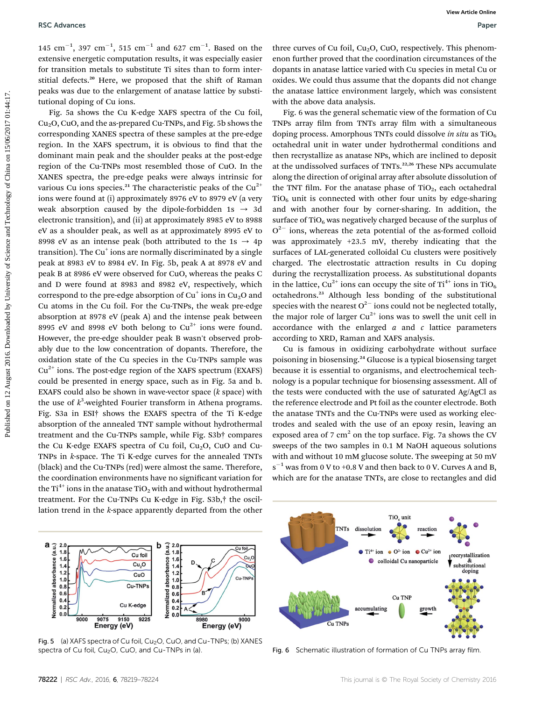$145 \text{ cm}^{-1}$ , 397  $\text{cm}^{-1}$ , 515  $\text{cm}^{-1}$  and 627  $\text{cm}^{-1}$ . Based on the extensive energetic computation results, it was especially easier for transition metals to substitute Ti sites than to form interstitial defects.<sup>20</sup> Here, we proposed that the shift of Raman peaks was due to the enlargement of anatase lattice by substitutional doping of Cu ions.

Fig. 5a shows the Cu K-edge XAFS spectra of the Cu foil,  $Cu<sub>2</sub>O$ , CuO, and the as-prepared Cu-TNPs, and Fig. 5b shows the corresponding XANES spectra of these samples at the pre-edge region. In the XAFS spectrum, it is obvious to find that the dominant main peak and the shoulder peaks at the post-edge region of the Cu-TNPs most resembled those of CuO. In the XANES spectra, the pre-edge peaks were always intrinsic for various Cu ions species.<sup>21</sup> The characteristic peaks of the  $Cu^{2+}$ ions were found at (i) approximately 8976 eV to 8979 eV (a very weak absorption caused by the dipole-forbidden 1s  $\rightarrow$  3d electronic transition), and (ii) at approximately 8985 eV to 8988 eV as a shoulder peak, as well as at approximately 8995 eV to 8998 eV as an intense peak (both attributed to the 1s  $\rightarrow$  4p transition). The  $Cu<sup>+</sup>$  ions are normally discriminated by a single peak at 8983 eV to 8984 eV. In Fig. 5b, peak A at 8978 eV and peak B at 8986 eV were observed for CuO, whereas the peaks C and D were found at 8983 and 8982 eV, respectively, which correspond to the pre-edge absorption of  $Cu<sup>+</sup>$  ions in  $Cu<sub>2</sub>O$  and Cu atoms in the Cu foil. For the Cu-TNPs, the weak pre-edge absorption at 8978 eV (peak A) and the intense peak between 8995 eV and 8998 eV both belong to  $Cu^{2+}$  ions were found. However, the pre-edge shoulder peak B wasn't observed probably due to the low concentration of dopants. Therefore, the oxidation state of the Cu species in the Cu-TNPs sample was  $Cu<sup>2+</sup>$  ions. The post-edge region of the XAFS spectrum (EXAFS) could be presented in energy space, such as in Fig. 5a and b. EXAFS could also be shown in wave-vector space  $(k \text{ space})$  with the use of  $k^3$ -weighted Fourier transform in Athena programs. Fig. S3a in ESI† shows the EXAFS spectra of the Ti K-edge absorption of the annealed TNT sample without hydrothermal treatment and the Cu-TNPs sample, while Fig. S3b† compares the Cu K-edge EXAFS spectra of Cu foil,  $Cu<sub>2</sub>O$ , CuO and Cu-TNPs in k-space. The Ti K-edge curves for the annealed TNTs (black) and the Cu-TNPs (red) were almost the same. Therefore, the coordination environments have no significant variation for the Ti<sup>4+</sup> ions in the anatase TiO<sub>2</sub> with and without hydrothermal treatment. For the Cu-TNPs Cu K-edge in Fig. S3b,† the oscillation trend in the k-space apparently departed from the other PEC AReances into the state of the state of the state of the state of the state of the state of the state of the state of the state of the state of the state of the state of the state of the state of the state of the state

three curves of Cu foil,  $Cu<sub>2</sub>O$ , CuO, respectively. This phenomenon further proved that the coordination circumstances of the dopants in anatase lattice varied with Cu species in metal Cu or oxides. We could thus assume that the dopants did not change the anatase lattice environment largely, which was consistent with the above data analysis.

Fig. 6 was the general schematic view of the formation of Cu TNPs array film from TNTs array film with a simultaneous doping process. Amorphous TNTs could dissolve in situ as  $TiO<sub>6</sub>$ octahedral unit in water under hydrothermal conditions and then recrystallize as anatase NPs, which are inclined to deposit at the undissolved surfaces of TNTs.<sup>22,26</sup> These NPs accumulate along the direction of original array after absolute dissolution of the TNT film. For the anatase phase of TiO<sub>2</sub>, each octahedral  $TiO<sub>6</sub>$  unit is connected with other four units by edge-sharing and with another four by corner-sharing. In addition, the surface of  $TiO_6$  was negatively charged because of the surplus of  $O^{2-}$  ions, whereas the zeta potential of the as-formed colloid was approximately +23.5 mV, thereby indicating that the surfaces of LAL-generated colloidal Cu clusters were positively charged. The electrostatic attraction results in Cu doping during the recrystallization process. As substitutional dopants in the lattice,  $Cu^{2+}$  ions can occupy the site of  $Ti^{4+}$  ions in TiO<sub>6</sub> octahedrons.<sup>23</sup> Although less bonding of the substitutional species with the nearest  $O^{2-}$  ions could not be neglected totally, the major role of larger  $Cu^{2+}$  ions was to swell the unit cell in accordance with the enlarged  $a$  and  $c$  lattice parameters according to XRD, Raman and XAFS analysis.

Cu is famous in oxidizing carbohydrate without surface poisoning in biosensing.<sup>24</sup> Glucose is a typical biosensing target because it is essential to organisms, and electrochemical technology is a popular technique for biosensing assessment. All of the tests were conducted with the use of saturated Ag/AgCl as the reference electrode and Pt foil as the counter electrode. Both the anatase TNTs and the Cu-TNPs were used as working electrodes and sealed with the use of an epoxy resin, leaving an exposed area of 7  $\text{cm}^2$  on the top surface. Fig. 7a shows the CV sweeps of the two samples in 0.1 M NaOH aqueous solutions with and without 10 mM glucose solute. The sweeping at 50 mV  $s^{-1}$  was from 0 V to +0.8 V and then back to 0 V. Curves A and B, which are for the anatase TNTs, are close to rectangles and did



Fig. 5 (a) XAFS spectra of Cu foil,  $Cu<sub>2</sub>O$ , CuO, and Cu-TNPs; (b) XANES spectra of Cu foil,  $Cu<sub>2</sub>O$ , CuO, and Cu-TNPs in (a).



Fig. 6 Schematic illustration of formation of Cu TNPs array film.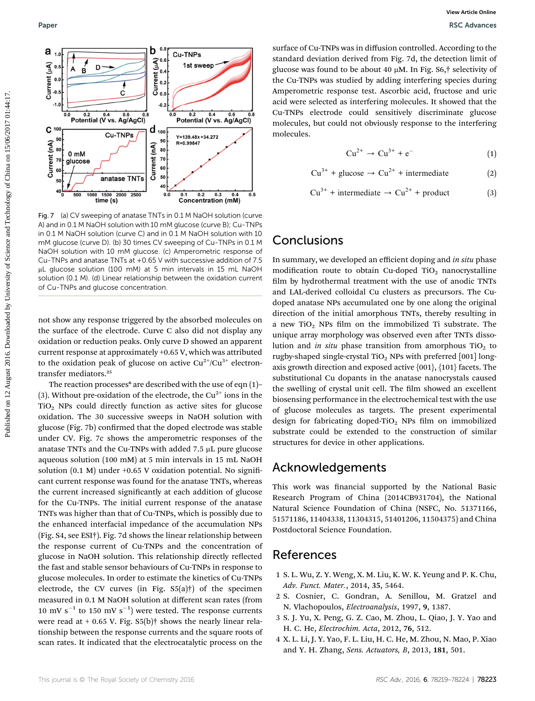

Fig. 7 (a) CV sweeping of anatase TNTs in 0.1 M NaOH solution (curve A) and in 0.1 M NaOH solution with 10 mM glucose (curve B); Cu-TNPs in 0.1 M NaOH solution (curve C) and in 0.1 M NaOH solution with 10 mM glucose (curve D). (b) 30 times CV sweeping of Cu-TNPs in 0.1 M NaOH solution with 10 mM glucose. (c) Amperometric response of Cu-TNPs and anatase TNTs at +0.65 V with successive addition of 7.5 mL glucose solution (100 mM) at 5 min intervals in 15 mL NaOH solution (0.1 M). (d) Linear relationship between the oxidation current of Cu-TNPs and glucose concentration.

not show any response triggered by the absorbed molecules on the surface of the electrode. Curve C also did not display any oxidation or reduction peaks. Only curve D showed an apparent current response at approximately +0.65 V, which was attributed to the oxidation peak of glucose on active  $Cu^{2+}/Cu^{3+}$  electrontransfer mediators.<sup>25</sup>

The reaction processes<sup>6</sup> are described with the use of eqn  $(1)$ – (3). Without pre-oxidation of the electrode, the Cu<sup>2+</sup> ions in the  $TiO<sub>2</sub>$  NPs could directly function as active sites for glucose oxidation. The 30 successive sweeps in NaOH solution with glucose (Fig. 7b) confirmed that the doped electrode was stable under CV. Fig. 7c shows the amperometric responses of the anatase TNTs and the Cu-TNPs with added 7.5  $\mu$ L pure glucose aqueous solution (100 mM) at 5 min intervals in 15 mL NaOH solution (0.1 M) under  $+0.65$  V oxidation potential. No significant current response was found for the anatase TNTs, whereas the current increased significantly at each addition of glucose for the Cu-TNPs. The initial current response of the anatase TNTs was higher than that of Cu-TNPs, which is possibly due to the enhanced interfacial impedance of the accumulation NPs (Fig. S4, see ESI†). Fig. 7d shows the linear relationship between the response current of Cu-TNPs and the concentration of glucose in NaOH solution. This relationship directly reflected the fast and stable sensor behaviours of Cu-TNPs in response to glucose molecules. In order to estimate the kinetics of Cu-TNPs electrode, the CV curves (in Fig. S5(a)†) of the specimen measured in 0.1 M NaOH solution at different scan rates (from 10 mV s<sup>-1</sup> to 150 mV s<sup>-1</sup>) were tested. The response currents were read at  $+$  0.65 V. Fig. S5(b)<sup> $\dagger$ </sup> shows the nearly linear relationship between the response currents and the square roots of scan rates. It indicated that the electrocatalytic process on the

surface of Cu-TNPs was in diffusion controlled. According to the standard deviation derived from Fig. 7d, the detection limit of glucose was found to be about 40 mM. In Fig. S6,† selectivity of the Cu-TNPs was studied by adding interfering species during Amperometric response test. Ascorbic acid, fructose and uric acid were selected as interfering molecules. It showed that the Cu-TNPs electrode could sensitively discriminate glucose molecules, but could not obviously response to the interfering molecules.

$$
Cu^{2+} \rightarrow Cu^{3+} + e^-
$$
 (1)

$$
Cu^{3+} + glucose \rightarrow Cu^{2+} + intermediate
$$
 (2)

$$
Cu^{3+} + intermediate \rightarrow Cu^{2+} + product
$$
 (3)

# Conclusions

In summary, we developed an efficient doping and in situ phase modification route to obtain Cu-doped TiO<sub>2</sub> nanocrystalline film by hydrothermal treatment with the use of anodic TNTs and LAL-derived colloidal Cu clusters as precursors. The Cudoped anatase NPs accumulated one by one along the original direction of the initial amorphous TNTs, thereby resulting in a new TiO<sub>2</sub> NPs film on the immobilized Ti substrate. The unique array morphology was observed even after TNTs dissolution and in situ phase transition from amorphous  $TiO<sub>2</sub>$  to rugby-shaped single-crystal TiO<sub>2</sub> NPs with preferred  $[001]$  longaxis growth direction and exposed active {001}, {101} facets. The substitutional Cu dopants in the anatase nanocrystals caused the swelling of crystal unit cell. The film showed an excellent biosensing performance in the electrochemical test with the use of glucose molecules as targets. The present experimental design for fabricating doped-TiO<sub>2</sub> NPs film on immobilized substrate could be extended to the construction of similar structures for device in other applications.

### Acknowledgements

This work was financial supported by the National Basic Research Program of China (2014CB931704), the National Natural Science Foundation of China (NSFC, No. 51371166, 51571186, 11404338, 11304315, 51401206, 11504375) and China Postdoctoral Science Foundation.

### References

- 1 S. L. Wu, Z. Y. Weng, X. M. Liu, K. W. K. Yeung and P. K. Chu, Adv. Funct. Mater., 2014, 35, 5464.
- 2 S. Cosnier, C. Gondran, A. Senillou, M. Gratzel and N. Vlachopoulos, Electroanalysis, 1997, 9, 1387.
- 3 S. J. Yu, X. Peng, G. Z. Cao, M. Zhou, L. Qiao, J. Y. Yao and H. C. He, Electrochim. Acta, 2012, 76, 512.
- 4 X. L. Li, J. Y. Yao, F. L. Liu, H. C. He, M. Zhou, N. Mao, P. Xiao and Y. H. Zhang, Sens. Actuators, B, 2013, 181, 501.